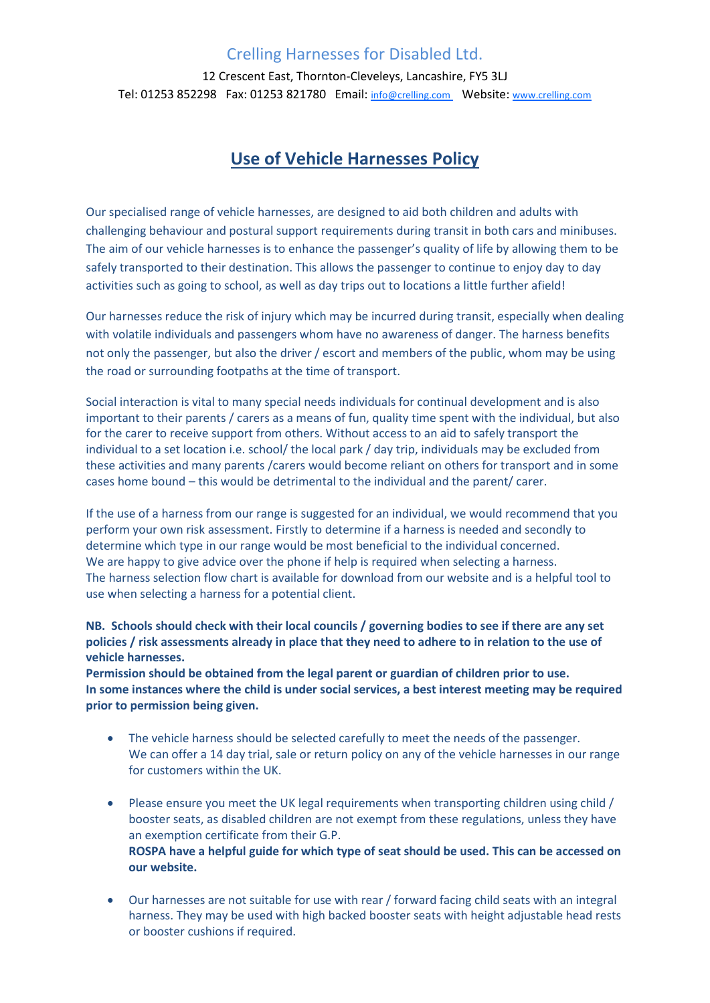## Crelling Harnesses for Disabled Ltd.

12 Crescent East, Thornton-Cleveleys, Lancashire, FY5 3LJ Tel: 01253 852298 Fax: 01253 821780 Email[:](mailto:jenny@crelling.com) [info@crelling.com](mailto:jenny@crelling.com) Website[:](http://www.crelling.com/) [www.crelling.com](http://www.crelling.com/)

## **Use of Vehicle Harnesses Policy**

Our specialised range of vehicle harnesses, are designed to aid both children and adults with challenging behaviour and postural support requirements during transit in both cars and minibuses. The aim of our vehicle harnesses is to enhance the passenger's quality of life by allowing them to be safely transported to their destination. This allows the passenger to continue to enjoy day to day activities such as going to school, as well as day trips out to locations a little further afield!

Our harnesses reduce the risk of injury which may be incurred during transit, especially when dealing with volatile individuals and passengers whom have no awareness of danger. The harness benefits not only the passenger, but also the driver / escort and members of the public, whom may be using the road or surrounding footpaths at the time of transport.

Social interaction is vital to many special needs individuals for continual development and is also important to their parents / carers as a means of fun, quality time spent with the individual, but also for the carer to receive support from others. Without access to an aid to safely transport the individual to a set location i.e. school/ the local park / day trip, individuals may be excluded from these activities and many parents /carers would become reliant on others for transport and in some cases home bound – this would be detrimental to the individual and the parent/ carer.

If the use of a harness from our range is suggested for an individual, we would recommend that you perform your own risk assessment. Firstly to determine if a harness is needed and secondly to determine which type in our range would be most beneficial to the individual concerned. We are happy to give advice over the phone if help is required when selecting a harness. The harness selection flow chart is available for download from our website and is a helpful tool to use when selecting a harness for a potential client.

**NB. Schools should check with their local councils / governing bodies to see if there are any set policies / risk assessments already in place that they need to adhere to in relation to the use of vehicle harnesses.** 

**Permission should be obtained from the legal parent or guardian of children prior to use. In some instances where the child is under social services, a best interest meeting may be required prior to permission being given.** 

- The vehicle harness should be selected carefully to meet the needs of the passenger. We can offer a 14 day trial, sale or return policy on any of the vehicle harnesses in our range for customers within the UK.
- Please ensure you meet the UK legal requirements when transporting children using child / booster seats, as disabled children are not exempt from these regulations, unless they have an exemption certificate from their G.P. **ROSPA have a helpful guide for which type of seat should be used. This can be accessed on our website.**
- Our harnesses are not suitable for use with rear / forward facing child seats with an integral harness. They may be used with high backed booster seats with height adjustable head rests or booster cushions if required.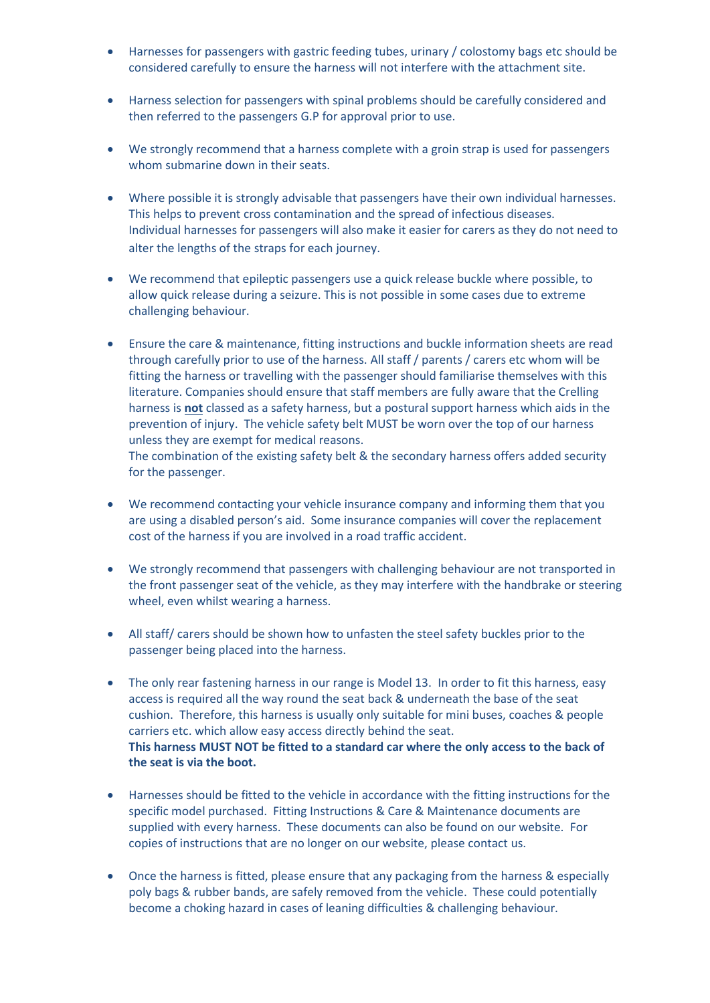- Harnesses for passengers with gastric feeding tubes, urinary / colostomy bags etc should be considered carefully to ensure the harness will not interfere with the attachment site.
- Harness selection for passengers with spinal problems should be carefully considered and then referred to the passengers G.P for approval prior to use.
- We strongly recommend that a harness complete with a groin strap is used for passengers whom submarine down in their seats.
- Where possible it is strongly advisable that passengers have their own individual harnesses. This helps to prevent cross contamination and the spread of infectious diseases. Individual harnesses for passengers will also make it easier for carers as they do not need to alter the lengths of the straps for each journey.
- We recommend that epileptic passengers use a quick release buckle where possible, to allow quick release during a seizure. This is not possible in some cases due to extreme challenging behaviour.
- Ensure the care & maintenance, fitting instructions and buckle information sheets are read through carefully prior to use of the harness. All staff / parents / carers etc whom will be fitting the harness or travelling with the passenger should familiarise themselves with this literature. Companies should ensure that staff members are fully aware that the Crelling harness is **not** classed as a safety harness, but a postural support harness which aids in the prevention of injury. The vehicle safety belt MUST be worn over the top of our harness unless they are exempt for medical reasons.

The combination of the existing safety belt & the secondary harness offers added security for the passenger.

- We recommend contacting your vehicle insurance company and informing them that you are using a disabled person's aid. Some insurance companies will cover the replacement cost of the harness if you are involved in a road traffic accident.
- We strongly recommend that passengers with challenging behaviour are not transported in the front passenger seat of the vehicle, as they may interfere with the handbrake or steering wheel, even whilst wearing a harness.
- All staff/ carers should be shown how to unfasten the steel safety buckles prior to the passenger being placed into the harness.
- The only rear fastening harness in our range is Model 13. In order to fit this harness, easy access is required all the way round the seat back & underneath the base of the seat cushion. Therefore, this harness is usually only suitable for mini buses, coaches & people carriers etc. which allow easy access directly behind the seat. **This harness MUST NOT be fitted to a standard car where the only access to the back of the seat is via the boot.**
- Harnesses should be fitted to the vehicle in accordance with the fitting instructions for the specific model purchased. Fitting Instructions & Care & Maintenance documents are supplied with every harness. These documents can also be found on our website. For copies of instructions that are no longer on our website, please contact us.
- Once the harness is fitted, please ensure that any packaging from the harness & especially poly bags & rubber bands, are safely removed from the vehicle. These could potentially become a choking hazard in cases of leaning difficulties & challenging behaviour.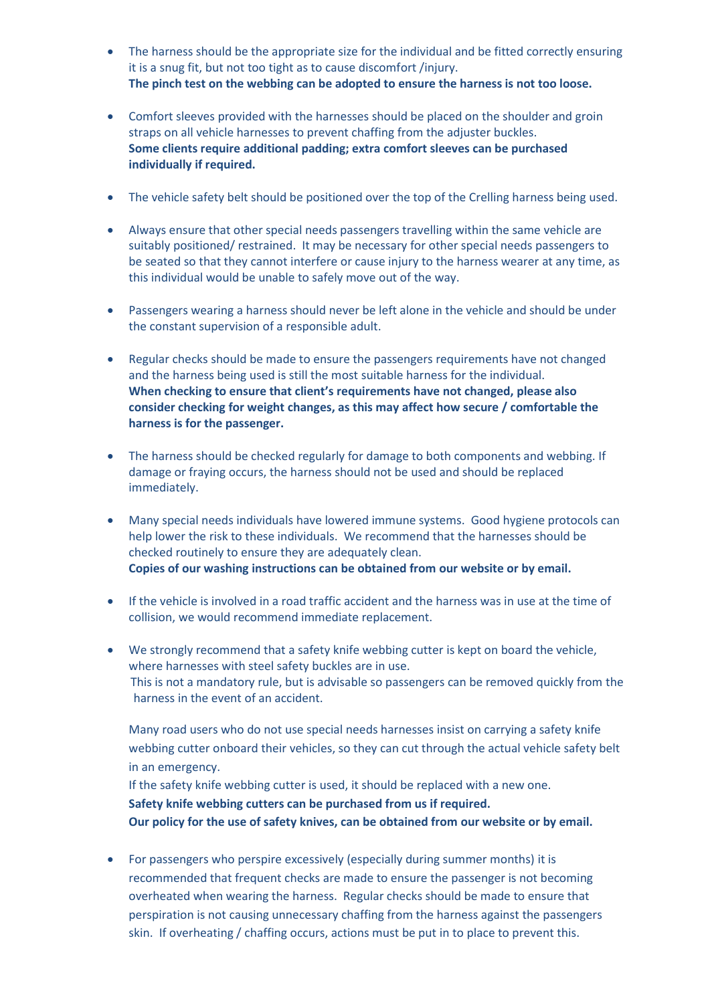- The harness should be the appropriate size for the individual and be fitted correctly ensuring it is a snug fit, but not too tight as to cause discomfort /injury. **The pinch test on the webbing can be adopted to ensure the harness is not too loose.**
- Comfort sleeves provided with the harnesses should be placed on the shoulder and groin straps on all vehicle harnesses to prevent chaffing from the adjuster buckles. **Some clients require additional padding; extra comfort sleeves can be purchased individually if required.**
- The vehicle safety belt should be positioned over the top of the Crelling harness being used.
- Always ensure that other special needs passengers travelling within the same vehicle are suitably positioned/ restrained. It may be necessary for other special needs passengers to be seated so that they cannot interfere or cause injury to the harness wearer at any time, as this individual would be unable to safely move out of the way.
- Passengers wearing a harness should never be left alone in the vehicle and should be under the constant supervision of a responsible adult.
- Regular checks should be made to ensure the passengers requirements have not changed and the harness being used is still the most suitable harness for the individual. **When checking to ensure that client's requirements have not changed, please also consider checking for weight changes, as this may affect how secure / comfortable the harness is for the passenger.**
- The harness should be checked regularly for damage to both components and webbing. If damage or fraying occurs, the harness should not be used and should be replaced immediately.
- Many special needs individuals have lowered immune systems. Good hygiene protocols can help lower the risk to these individuals. We recommend that the harnesses should be checked routinely to ensure they are adequately clean. **Copies of our washing instructions can be obtained from our website or by email.**
- If the vehicle is involved in a road traffic accident and the harness was in use at the time of collision, we would recommend immediate replacement.
- We strongly recommend that a safety knife webbing cutter is kept on board the vehicle, where harnesses with steel safety buckles are in use. This is not a mandatory rule, but is advisable so passengers can be removed quickly from the harness in the event of an accident.

Many road users who do not use special needs harnesses insist on carrying a safety knife webbing cutter onboard their vehicles, so they can cut through the actual vehicle safety belt in an emergency.

If the safety knife webbing cutter is used, it should be replaced with a new one. **Safety knife webbing cutters can be purchased from us if required. Our policy for the use of safety knives, can be obtained from our website or by email.**

• For passengers who perspire excessively (especially during summer months) it is recommended that frequent checks are made to ensure the passenger is not becoming overheated when wearing the harness. Regular checks should be made to ensure that perspiration is not causing unnecessary chaffing from the harness against the passengers skin. If overheating / chaffing occurs, actions must be put in to place to prevent this.